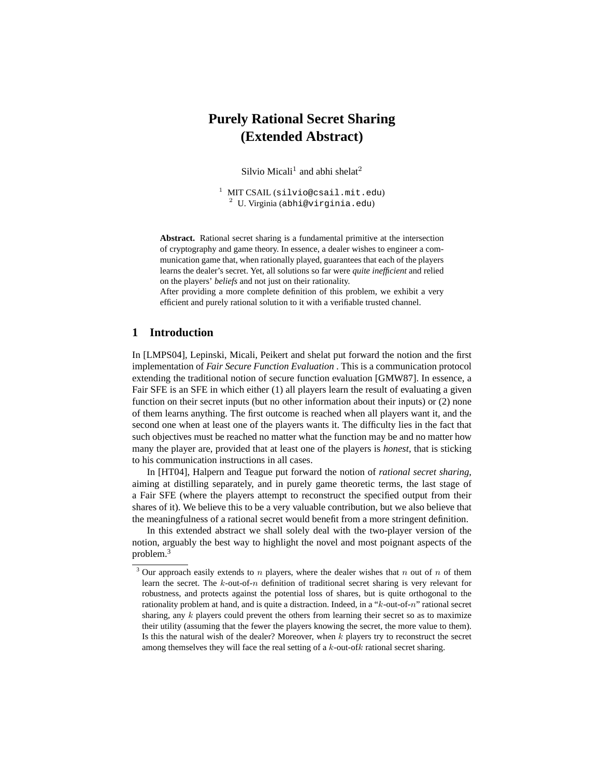# **Purely Rational Secret Sharing (Extended Abstract)**

Silvio Micali<sup>1</sup> and abhi shelat<sup>2</sup>

<sup>1</sup> MIT CSAIL (silvio@csail.mit.edu)  $2$  U. Virginia (abhi@virginia.edu)

**Abstract.** Rational secret sharing is a fundamental primitive at the intersection of cryptography and game theory. In essence, a dealer wishes to engineer a communication game that, when rationally played, guarantees that each of the players learns the dealer's secret. Yet, all solutions so far were *quite inefficient* and relied on the players' *beliefs* and not just on their rationality.

After providing a more complete definition of this problem, we exhibit a very efficient and purely rational solution to it with a verifiable trusted channel.

# **1 Introduction**

In [LMPS04], Lepinski, Micali, Peikert and shelat put forward the notion and the first implementation of *Fair Secure Function Evaluation* . This is a communication protocol extending the traditional notion of secure function evaluation [GMW87]. In essence, a Fair SFE is an SFE in which either (1) all players learn the result of evaluating a given function on their secret inputs (but no other information about their inputs) or (2) none of them learns anything. The first outcome is reached when all players want it, and the second one when at least one of the players wants it. The difficulty lies in the fact that such objectives must be reached no matter what the function may be and no matter how many the player are, provided that at least one of the players is *honest*, that is sticking to his communication instructions in all cases.

In [HT04], Halpern and Teague put forward the notion of *rational secret sharing*, aiming at distilling separately, and in purely game theoretic terms, the last stage of a Fair SFE (where the players attempt to reconstruct the specified output from their shares of it). We believe this to be a very valuable contribution, but we also believe that the meaningfulness of a rational secret would benefit from a more stringent definition.

In this extended abstract we shall solely deal with the two-player version of the notion, arguably the best way to highlight the novel and most poignant aspects of the problem.<sup>3</sup>

<sup>&</sup>lt;sup>3</sup> Our approach easily extends to *n* players, where the dealer wishes that *n* out of *n* of them learn the secret. The  $k$ -out-of-n definition of traditional secret sharing is very relevant for robustness, and protects against the potential loss of shares, but is quite orthogonal to the rationality problem at hand, and is quite a distraction. Indeed, in a "k-out-of-n" rational secret sharing, any  $k$  players could prevent the others from learning their secret so as to maximize their utility (assuming that the fewer the players knowing the secret, the more value to them). Is this the natural wish of the dealer? Moreover, when  $k$  players try to reconstruct the secret among themselves they will face the real setting of a  $k$ -out-of $k$  rational secret sharing.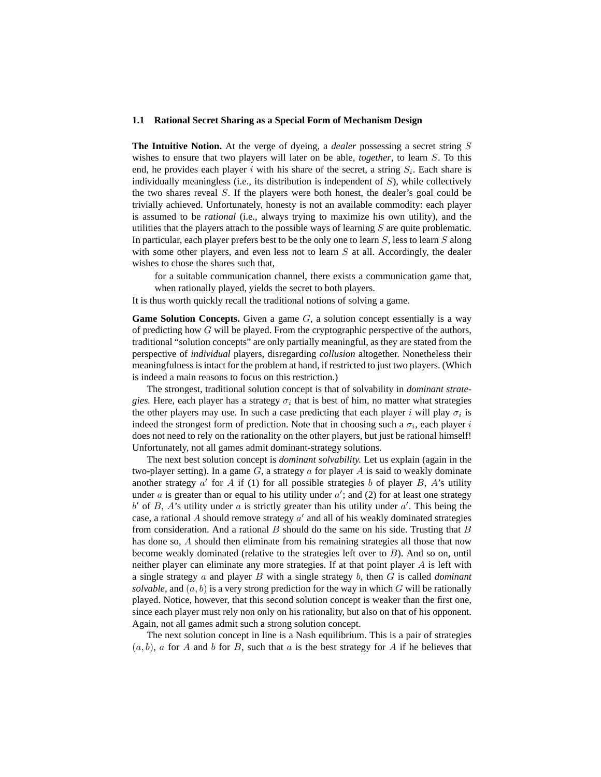#### **1.1 Rational Secret Sharing as a Special Form of Mechanism Design**

**The Intuitive Notion.** At the verge of dyeing, a *dealer* possessing a secret string S wishes to ensure that two players will later on be able, *together*, to learn S. To this end, he provides each player i with his share of the secret, a string  $S_i$ . Each share is individually meaningless (i.e., its distribution is independent of  $S$ ), while collectively the two shares reveal S. If the players were both honest, the dealer's goal could be trivially achieved. Unfortunately, honesty is not an available commodity: each player is assumed to be *rational* (i.e., always trying to maximize his own utility), and the utilities that the players attach to the possible ways of learning  $S$  are quite problematic. In particular, each player prefers best to be the only one to learn  $S$ , less to learn  $S$  along with some other players, and even less not to learn  $S$  at all. Accordingly, the dealer wishes to chose the shares such that,

for a suitable communication channel, there exists a communication game that, when rationally played, yields the secret to both players.

It is thus worth quickly recall the traditional notions of solving a game.

**Game Solution Concepts.** Given a game G, a solution concept essentially is a way of predicting how  $G$  will be played. From the cryptographic perspective of the authors, traditional "solution concepts" are only partially meaningful, as they are stated from the perspective of *individual* players, disregarding *collusion* altogether. Nonetheless their meaningfulness is intact for the problem at hand, if restricted to just two players. (Which is indeed a main reasons to focus on this restriction.)

The strongest, traditional solution concept is that of solvability in *dominant strate*gies. Here, each player has a strategy  $\sigma_i$  that is best of him, no matter what strategies the other players may use. In such a case predicting that each player i will play  $\sigma_i$  is indeed the strongest form of prediction. Note that in choosing such a  $\sigma_i$ , each player i does not need to rely on the rationality on the other players, but just be rational himself! Unfortunately, not all games admit dominant-strategy solutions.

The next best solution concept is *dominant solvability.* Let us explain (again in the two-player setting). In a game  $G$ , a strategy  $\alpha$  for player  $A$  is said to weakly dominate another strategy  $a'$  for A if (1) for all possible strategies b of player B, A's utility under  $a$  is greater than or equal to his utility under  $a'$ ; and (2) for at least one strategy  $b'$  of B, A's utility under a is strictly greater than his utility under  $a'$ . This being the case, a rational A should remove strategy  $a'$  and all of his weakly dominated strategies from consideration. And a rational  $B$  should do the same on his side. Trusting that  $B$ has done so, A should then eliminate from his remaining strategies all those that now become weakly dominated (relative to the strategies left over to  $B$ ). And so on, until neither player can eliminate any more strategies. If at that point player  $A$  is left with a single strategy a and player B with a single strategy b, then G is called *dominant solvable*, and  $(a, b)$  is a very strong prediction for the way in which  $G$  will be rationally played. Notice, however, that this second solution concept is weaker than the first one, since each player must rely non only on his rationality, but also on that of his opponent. Again, not all games admit such a strong solution concept.

The next solution concept in line is a Nash equilibrium. This is a pair of strategies  $(a, b)$ , a for A and b for B, such that a is the best strategy for A if he believes that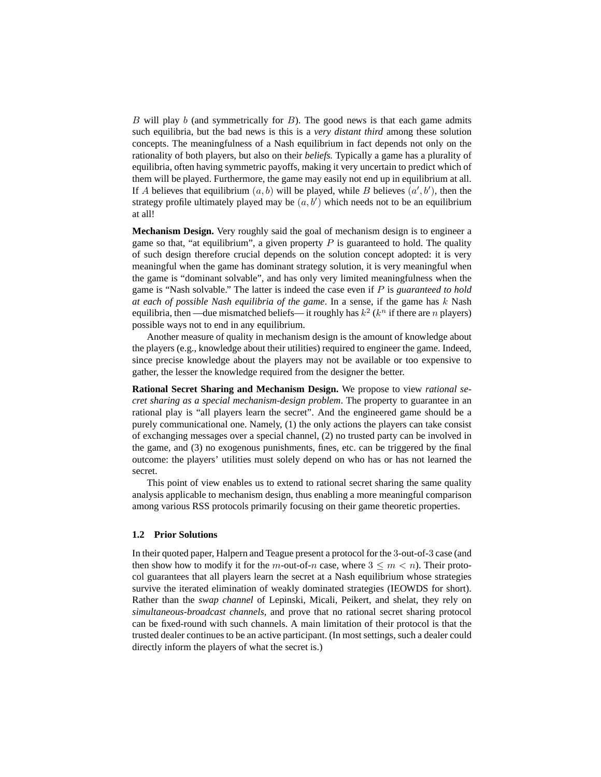B will play b (and symmetrically for  $B$ ). The good news is that each game admits such equilibria, but the bad news is this is a *very distant third* among these solution concepts. The meaningfulness of a Nash equilibrium in fact depends not only on the rationality of both players, but also on their *beliefs.* Typically a game has a plurality of equilibria, often having symmetric payoffs, making it very uncertain to predict which of them will be played. Furthermore, the game may easily not end up in equilibrium at all. If A believes that equilibrium  $(a, b)$  will be played, while B believes  $(a', b')$ , then the strategy profile ultimately played may be  $(a, b')$  which needs not to be an equilibrium at all!

**Mechanism Design.** Very roughly said the goal of mechanism design is to engineer a game so that, "at equilibrium", a given property  $P$  is guaranteed to hold. The quality of such design therefore crucial depends on the solution concept adopted: it is very meaningful when the game has dominant strategy solution, it is very meaningful when the game is "dominant solvable", and has only very limited meaningfulness when the game is "Nash solvable." The latter is indeed the case even if P is *guaranteed to hold at each of possible Nash equilibria of the game*. In a sense, if the game has k Nash equilibria, then —due mismatched beliefs— it roughly has  $k^2$  ( $k^n$  if there are n players) possible ways not to end in any equilibrium.

Another measure of quality in mechanism design is the amount of knowledge about the players (e.g., knowledge about their utilities) required to engineer the game. Indeed, since precise knowledge about the players may not be available or too expensive to gather, the lesser the knowledge required from the designer the better.

**Rational Secret Sharing and Mechanism Design.** We propose to view *rational secret sharing as a special mechanism-design problem*. The property to guarantee in an rational play is "all players learn the secret". And the engineered game should be a purely communicational one. Namely, (1) the only actions the players can take consist of exchanging messages over a special channel, (2) no trusted party can be involved in the game, and (3) no exogenous punishments, fines, etc. can be triggered by the final outcome: the players' utilities must solely depend on who has or has not learned the secret.

This point of view enables us to extend to rational secret sharing the same quality analysis applicable to mechanism design, thus enabling a more meaningful comparison among various RSS protocols primarily focusing on their game theoretic properties.

#### **1.2 Prior Solutions**

In their quoted paper, Halpern and Teague present a protocol for the 3-out-of-3 case (and then show how to modify it for the m-out-of-n case, where  $3 \le m \le n$ ). Their protocol guarantees that all players learn the secret at a Nash equilibrium whose strategies survive the iterated elimination of weakly dominated strategies (IEOWDS for short). Rather than the *swap channel* of Lepinski, Micali, Peikert, and shelat, they rely on *simultaneous-broadcast channels*, and prove that no rational secret sharing protocol can be fixed-round with such channels. A main limitation of their protocol is that the trusted dealer continues to be an active participant. (In most settings, such a dealer could directly inform the players of what the secret is.)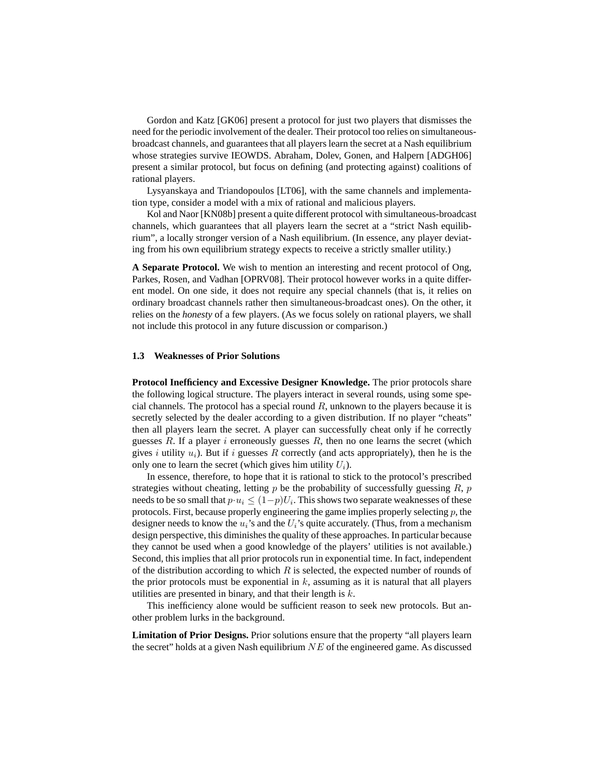Gordon and Katz [GK06] present a protocol for just two players that dismisses the need for the periodic involvement of the dealer. Their protocol too relies on simultaneousbroadcast channels, and guarantees that all players learn the secret at a Nash equilibrium whose strategies survive IEOWDS. Abraham, Dolev, Gonen, and Halpern [ADGH06] present a similar protocol, but focus on defining (and protecting against) coalitions of rational players.

Lysyanskaya and Triandopoulos [LT06], with the same channels and implementation type, consider a model with a mix of rational and malicious players.

Kol and Naor [KN08b] present a quite different protocol with simultaneous-broadcast channels, which guarantees that all players learn the secret at a "strict Nash equilibrium", a locally stronger version of a Nash equilibrium. (In essence, any player deviating from his own equilibrium strategy expects to receive a strictly smaller utility.)

**A Separate Protocol.** We wish to mention an interesting and recent protocol of Ong, Parkes, Rosen, and Vadhan [OPRV08]. Their protocol however works in a quite different model. On one side, it does not require any special channels (that is, it relies on ordinary broadcast channels rather then simultaneous-broadcast ones). On the other, it relies on the *honesty* of a few players. (As we focus solely on rational players, we shall not include this protocol in any future discussion or comparison.)

## **1.3 Weaknesses of Prior Solutions**

**Protocol Inefficiency and Excessive Designer Knowledge.** The prior protocols share the following logical structure. The players interact in several rounds, using some special channels. The protocol has a special round  $R$ , unknown to the players because it is secretly selected by the dealer according to a given distribution. If no player "cheats" then all players learn the secret. A player can successfully cheat only if he correctly guesses  $R$ . If a player  $i$  erroneously guesses  $R$ , then no one learns the secret (which gives i utility  $u_i$ ). But if i guesses R correctly (and acts appropriately), then he is the only one to learn the secret (which gives him utility  $U_i$ ).

In essence, therefore, to hope that it is rational to stick to the protocol's prescribed strategies without cheating, letting  $p$  be the probability of successfully guessing  $R$ ,  $p$ needs to be so small that  $p \cdot u_i \leq (1-p)U_i$ . This shows two separate weaknesses of these protocols. First, because properly engineering the game implies properly selecting  $p$ , the designer needs to know the  $u_i$ 's and the  $U_i$ 's quite accurately. (Thus, from a mechanism design perspective, this diminishes the quality of these approaches. In particular because they cannot be used when a good knowledge of the players' utilities is not available.) Second, this implies that all prior protocols run in exponential time. In fact, independent of the distribution according to which  $R$  is selected, the expected number of rounds of the prior protocols must be exponential in  $k$ , assuming as it is natural that all players utilities are presented in binary, and that their length is  $k$ .

This inefficiency alone would be sufficient reason to seek new protocols. But another problem lurks in the background.

**Limitation of Prior Designs.** Prior solutions ensure that the property "all players learn the secret" holds at a given Nash equilibrium  $NE$  of the engineered game. As discussed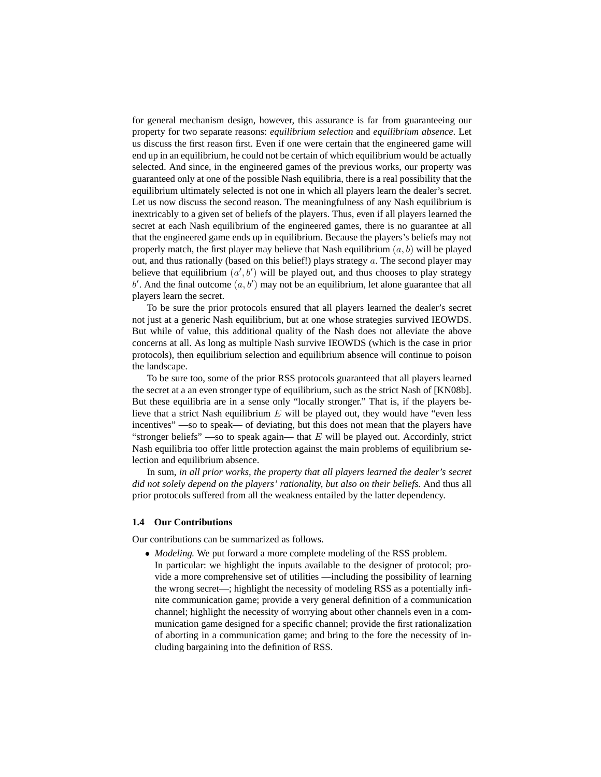for general mechanism design, however, this assurance is far from guaranteeing our property for two separate reasons: *equilibrium selection* and *equilibrium absence*. Let us discuss the first reason first. Even if one were certain that the engineered game will end up in an equilibrium, he could not be certain of which equilibrium would be actually selected. And since, in the engineered games of the previous works, our property was guaranteed only at one of the possible Nash equilibria, there is a real possibility that the equilibrium ultimately selected is not one in which all players learn the dealer's secret. Let us now discuss the second reason. The meaningfulness of any Nash equilibrium is inextricably to a given set of beliefs of the players. Thus, even if all players learned the secret at each Nash equilibrium of the engineered games, there is no guarantee at all that the engineered game ends up in equilibrium. Because the players's beliefs may not properly match, the first player may believe that Nash equilibrium  $(a, b)$  will be played out, and thus rationally (based on this belief!) plays strategy  $a$ . The second player may believe that equilibrium  $(a', b')$  will be played out, and thus chooses to play strategy  $b'$ . And the final outcome  $(a, b')$  may not be an equilibrium, let alone guarantee that all players learn the secret.

To be sure the prior protocols ensured that all players learned the dealer's secret not just at a generic Nash equilibrium, but at one whose strategies survived IEOWDS. But while of value, this additional quality of the Nash does not alleviate the above concerns at all. As long as multiple Nash survive IEOWDS (which is the case in prior protocols), then equilibrium selection and equilibrium absence will continue to poison the landscape.

To be sure too, some of the prior RSS protocols guaranteed that all players learned the secret at a an even stronger type of equilibrium, such as the strict Nash of [KN08b]. But these equilibria are in a sense only "locally stronger." That is, if the players believe that a strict Nash equilibrium  $E$  will be played out, they would have "even less incentives" —so to speak— of deviating, but this does not mean that the players have "stronger beliefs" —so to speak again— that  $E$  will be played out. Accordinly, strict Nash equilibria too offer little protection against the main problems of equilibrium selection and equilibrium absence.

In sum, *in all prior works, the property that all players learned the dealer's secret did not solely depend on the players' rationality, but also on their beliefs.* And thus all prior protocols suffered from all the weakness entailed by the latter dependency.

#### **1.4 Our Contributions**

Our contributions can be summarized as follows.

- *Modeling*. We put forward a more complete modeling of the RSS problem.
- In particular: we highlight the inputs available to the designer of protocol; provide a more comprehensive set of utilities —including the possibility of learning the wrong secret—; highlight the necessity of modeling RSS as a potentially infinite communication game; provide a very general definition of a communication channel; highlight the necessity of worrying about other channels even in a communication game designed for a specific channel; provide the first rationalization of aborting in a communication game; and bring to the fore the necessity of including bargaining into the definition of RSS.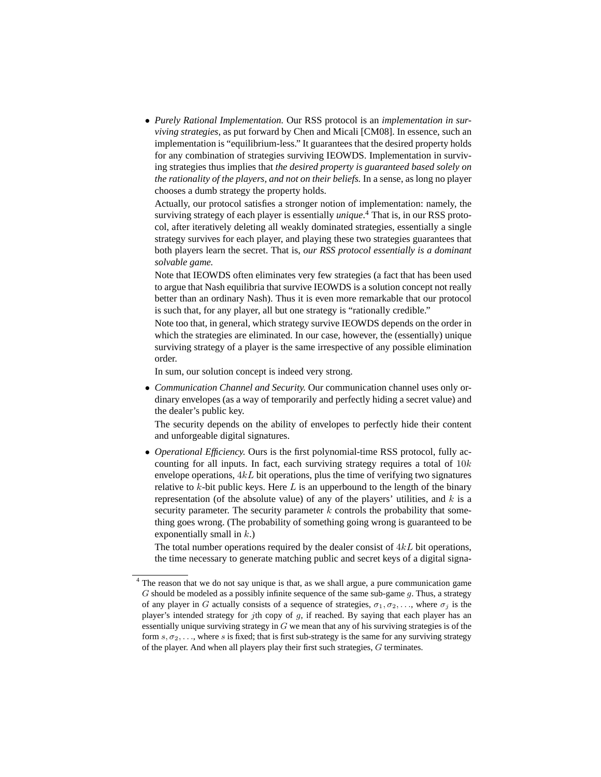• *Purely Rational Implementation.* Our RSS protocol is an *implementation in surviving strategies*, as put forward by Chen and Micali [CM08]. In essence, such an implementation is "equilibrium-less." It guarantees that the desired property holds for any combination of strategies surviving IEOWDS. Implementation in surviving strategies thus implies that *the desired property is guaranteed based solely on the rationality of the players, and not on their beliefs.* In a sense, as long no player chooses a dumb strategy the property holds.

Actually, our protocol satisfies a stronger notion of implementation: namely, the surviving strategy of each player is essentially *unique*. <sup>4</sup> That is, in our RSS protocol, after iteratively deleting all weakly dominated strategies, essentially a single strategy survives for each player, and playing these two strategies guarantees that both players learn the secret. That is, *our RSS protocol essentially is a dominant solvable game.*

Note that IEOWDS often eliminates very few strategies (a fact that has been used to argue that Nash equilibria that survive IEOWDS is a solution concept not really better than an ordinary Nash). Thus it is even more remarkable that our protocol is such that, for any player, all but one strategy is "rationally credible."

Note too that, in general, which strategy survive IEOWDS depends on the order in which the strategies are eliminated. In our case, however, the (essentially) unique surviving strategy of a player is the same irrespective of any possible elimination order.

In sum, our solution concept is indeed very strong.

• *Communication Channel and Security.* Our communication channel uses only ordinary envelopes (as a way of temporarily and perfectly hiding a secret value) and the dealer's public key.

The security depends on the ability of envelopes to perfectly hide their content and unforgeable digital signatures.

• *Operational Efficiency.* Ours is the first polynomial-time RSS protocol, fully accounting for all inputs. In fact, each surviving strategy requires a total of  $10k$ envelope operations,  $4kL$  bit operations, plus the time of verifying two signatures relative to k-bit public keys. Here L is an upperbound to the length of the binary representation (of the absolute value) of any of the players' utilities, and  $k$  is a security parameter. The security parameter  $k$  controls the probability that something goes wrong. (The probability of something going wrong is guaranteed to be exponentially small in  $k$ .)

The total number operations required by the dealer consist of  $4kL$  bit operations, the time necessary to generate matching public and secret keys of a digital signa-

<sup>&</sup>lt;sup>4</sup> The reason that we do not say unique is that, as we shall argue, a pure communication game  $G$  should be modeled as a possibly infinite sequence of the same sub-game  $g$ . Thus, a strategy of any player in G actually consists of a sequence of strategies,  $\sigma_1, \sigma_2, \ldots$ , where  $\sigma_j$  is the player's intended strategy for jth copy of  $g$ , if reached. By saying that each player has an essentially unique surviving strategy in G we mean that any of his surviving strategies is of the form  $s, \sigma_2, \ldots$ , where s is fixed; that is first sub-strategy is the same for any surviving strategy of the player. And when all players play their first such strategies, G terminates.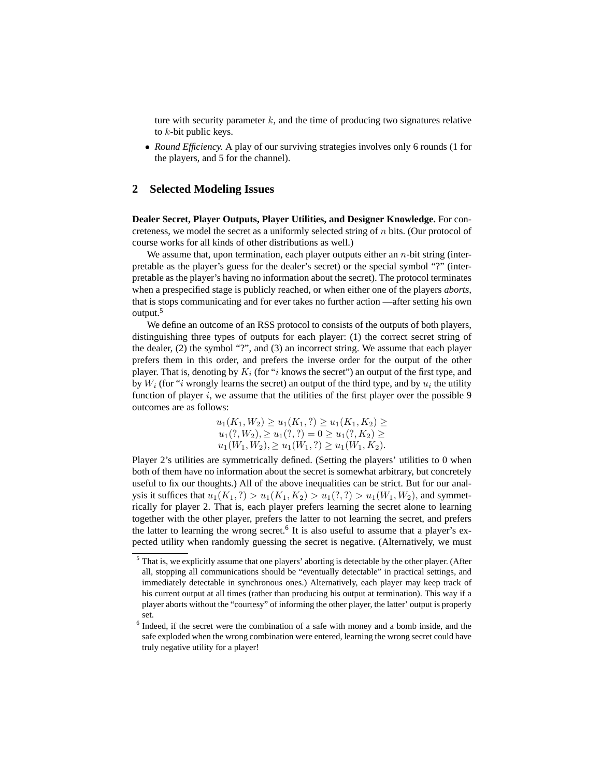ture with security parameter  $k$ , and the time of producing two signatures relative to  $k$ -bit public keys.

• *Round Efficiency.* A play of our surviving strategies involves only 6 rounds (1 for the players, and 5 for the channel).

# **2 Selected Modeling Issues**

**Dealer Secret, Player Outputs, Player Utilities, and Designer Knowledge.** For concreteness, we model the secret as a uniformly selected string of  $n$  bits. (Our protocol of course works for all kinds of other distributions as well.)

We assume that, upon termination, each player outputs either an  $n$ -bit string (interpretable as the player's guess for the dealer's secret) or the special symbol "?" (interpretable as the player's having no information about the secret). The protocol terminates when a prespecified stage is publicly reached, or when either one of the players *aborts,* that is stops communicating and for ever takes no further action —after setting his own output.<sup>5</sup>

We define an outcome of an RSS protocol to consists of the outputs of both players, distinguishing three types of outputs for each player: (1) the correct secret string of the dealer, (2) the symbol "?", and (3) an incorrect string. We assume that each player prefers them in this order, and prefers the inverse order for the output of the other player. That is, denoting by  $K_i$  (for "i knows the secret") an output of the first type, and by  $W_i$  (for "*i* wrongly learns the secret) an output of the third type, and by  $u_i$  the utility function of player  $i$ , we assume that the utilities of the first player over the possible 9 outcomes are as follows:

$$
u_1(K_1, W_2) \ge u_1(K_1, ?) \ge u_1(K_1, K_2) \ge
$$
  
\n
$$
u_1(?, W_2), \ge u_1(?, ?) = 0 \ge u_1(?, K_2) \ge
$$
  
\n
$$
u_1(W_1, W_2), \ge u_1(W_1, ?) \ge u_1(W_1, K_2).
$$

Player 2's utilities are symmetrically defined. (Setting the players' utilities to 0 when both of them have no information about the secret is somewhat arbitrary, but concretely useful to fix our thoughts.) All of the above inequalities can be strict. But for our analysis it suffices that  $u_1(K_1, ?) > u_1(K_1, K_2) > u_1(?, ?) > u_1(W_1, W_2)$ , and symmetrically for player 2. That is, each player prefers learning the secret alone to learning together with the other player, prefers the latter to not learning the secret, and prefers the latter to learning the wrong secret.<sup>6</sup> It is also useful to assume that a player's expected utility when randomly guessing the secret is negative. (Alternatively, we must

<sup>5</sup> That is, we explicitly assume that one players' aborting is detectable by the other player. (After all, stopping all communications should be "eventually detectable" in practical settings, and immediately detectable in synchronous ones.) Alternatively, each player may keep track of his current output at all times (rather than producing his output at termination). This way if a player aborts without the "courtesy" of informing the other player, the latter' output is properly set.

<sup>&</sup>lt;sup>6</sup> Indeed, if the secret were the combination of a safe with money and a bomb inside, and the safe exploded when the wrong combination were entered, learning the wrong secret could have truly negative utility for a player!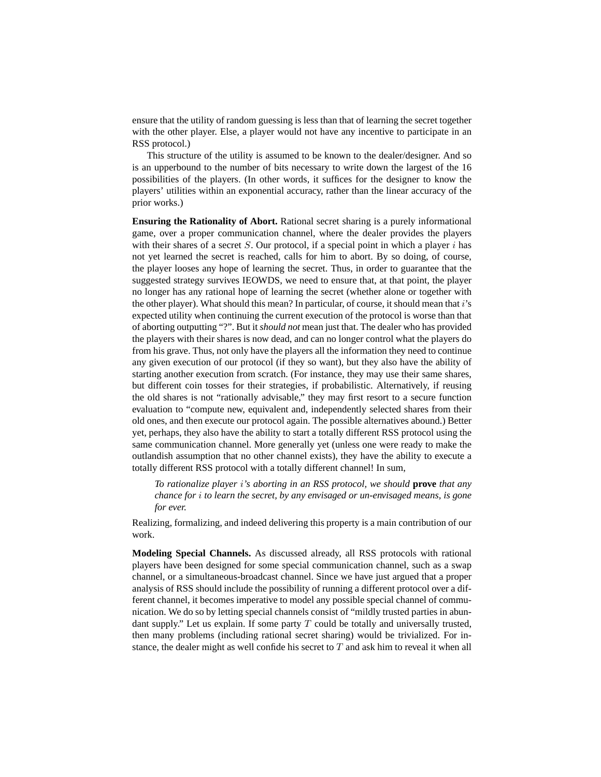ensure that the utility of random guessing is less than that of learning the secret together with the other player. Else, a player would not have any incentive to participate in an RSS protocol.)

This structure of the utility is assumed to be known to the dealer/designer. And so is an upperbound to the number of bits necessary to write down the largest of the 16 possibilities of the players. (In other words, it suffices for the designer to know the players' utilities within an exponential accuracy, rather than the linear accuracy of the prior works.)

**Ensuring the Rationality of Abort.** Rational secret sharing is a purely informational game, over a proper communication channel, where the dealer provides the players with their shares of a secret  $S$ . Our protocol, if a special point in which a player i has not yet learned the secret is reached, calls for him to abort. By so doing, of course, the player looses any hope of learning the secret. Thus, in order to guarantee that the suggested strategy survives IEOWDS, we need to ensure that, at that point, the player no longer has any rational hope of learning the secret (whether alone or together with the other player). What should this mean? In particular, of course, it should mean that i's expected utility when continuing the current execution of the protocol is worse than that of aborting outputting "?". But it *should not* mean just that. The dealer who has provided the players with their shares is now dead, and can no longer control what the players do from his grave. Thus, not only have the players all the information they need to continue any given execution of our protocol (if they so want), but they also have the ability of starting another execution from scratch. (For instance, they may use their same shares, but different coin tosses for their strategies, if probabilistic. Alternatively, if reusing the old shares is not "rationally advisable," they may first resort to a secure function evaluation to "compute new, equivalent and, independently selected shares from their old ones, and then execute our protocol again. The possible alternatives abound.) Better yet, perhaps, they also have the ability to start a totally different RSS protocol using the same communication channel. More generally yet (unless one were ready to make the outlandish assumption that no other channel exists), they have the ability to execute a totally different RSS protocol with a totally different channel! In sum,

*To rationalize player* i*'s aborting in an RSS protocol, we should* **prove** *that any chance for* i *to learn the secret, by any envisaged or un-envisaged means, is gone for ever.*

Realizing, formalizing, and indeed delivering this property is a main contribution of our work.

**Modeling Special Channels.** As discussed already, all RSS protocols with rational players have been designed for some special communication channel, such as a swap channel, or a simultaneous-broadcast channel. Since we have just argued that a proper analysis of RSS should include the possibility of running a different protocol over a different channel, it becomes imperative to model any possible special channel of communication. We do so by letting special channels consist of "mildly trusted parties in abundant supply." Let us explain. If some party  $T$  could be totally and universally trusted, then many problems (including rational secret sharing) would be trivialized. For instance, the dealer might as well confide his secret to  $T$  and ask him to reveal it when all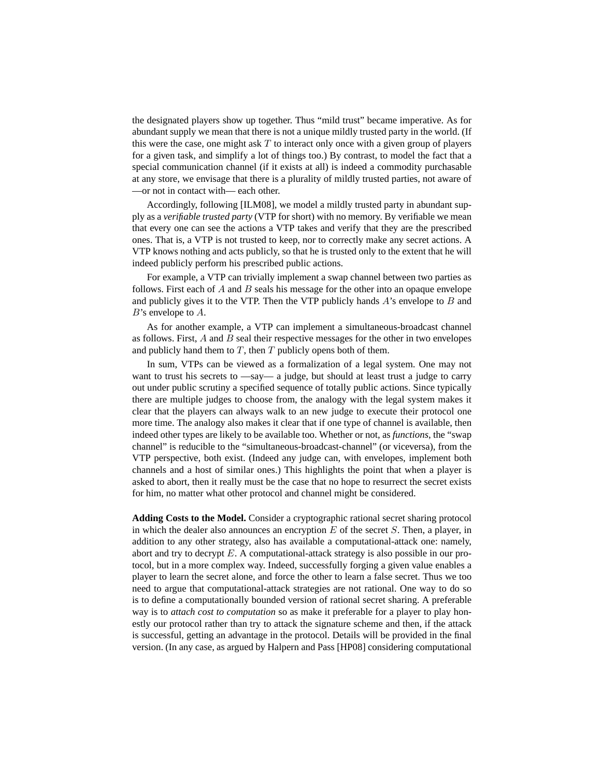the designated players show up together. Thus "mild trust" became imperative. As for abundant supply we mean that there is not a unique mildly trusted party in the world. (If this were the case, one might ask  $T$  to interact only once with a given group of players for a given task, and simplify a lot of things too.) By contrast, to model the fact that a special communication channel (if it exists at all) is indeed a commodity purchasable at any store, we envisage that there is a plurality of mildly trusted parties, not aware of —or not in contact with— each other.

Accordingly, following [ILM08], we model a mildly trusted party in abundant supply as a *verifiable trusted party* (VTP for short) with no memory. By verifiable we mean that every one can see the actions a VTP takes and verify that they are the prescribed ones. That is, a VTP is not trusted to keep, nor to correctly make any secret actions. A VTP knows nothing and acts publicly, so that he is trusted only to the extent that he will indeed publicly perform his prescribed public actions.

For example, a VTP can trivially implement a swap channel between two parties as follows. First each of  $A$  and  $B$  seals his message for the other into an opaque envelope and publicly gives it to the VTP. Then the VTP publicly hands  $A$ 's envelope to  $B$  and B's envelope to A.

As for another example, a VTP can implement a simultaneous-broadcast channel as follows. First,  $A$  and  $B$  seal their respective messages for the other in two envelopes and publicly hand them to  $T$ , then  $T$  publicly opens both of them.

In sum, VTPs can be viewed as a formalization of a legal system. One may not want to trust his secrets to —say— a judge, but should at least trust a judge to carry out under public scrutiny a specified sequence of totally public actions. Since typically there are multiple judges to choose from, the analogy with the legal system makes it clear that the players can always walk to an new judge to execute their protocol one more time. The analogy also makes it clear that if one type of channel is available, then indeed other types are likely to be available too. Whether or not, as *functions*, the "swap channel" is reducible to the "simultaneous-broadcast-channel" (or viceversa), from the VTP perspective, both exist. (Indeed any judge can, with envelopes, implement both channels and a host of similar ones.) This highlights the point that when a player is asked to abort, then it really must be the case that no hope to resurrect the secret exists for him, no matter what other protocol and channel might be considered.

**Adding Costs to the Model.** Consider a cryptographic rational secret sharing protocol in which the dealer also announces an encryption  $E$  of the secret  $S$ . Then, a player, in addition to any other strategy, also has available a computational-attack one: namely, abort and try to decrypt E. A computational-attack strategy is also possible in our protocol, but in a more complex way. Indeed, successfully forging a given value enables a player to learn the secret alone, and force the other to learn a false secret. Thus we too need to argue that computational-attack strategies are not rational. One way to do so is to define a computationally bounded version of rational secret sharing. A preferable way is to *attach cost to computation* so as make it preferable for a player to play honestly our protocol rather than try to attack the signature scheme and then, if the attack is successful, getting an advantage in the protocol. Details will be provided in the final version. (In any case, as argued by Halpern and Pass [HP08] considering computational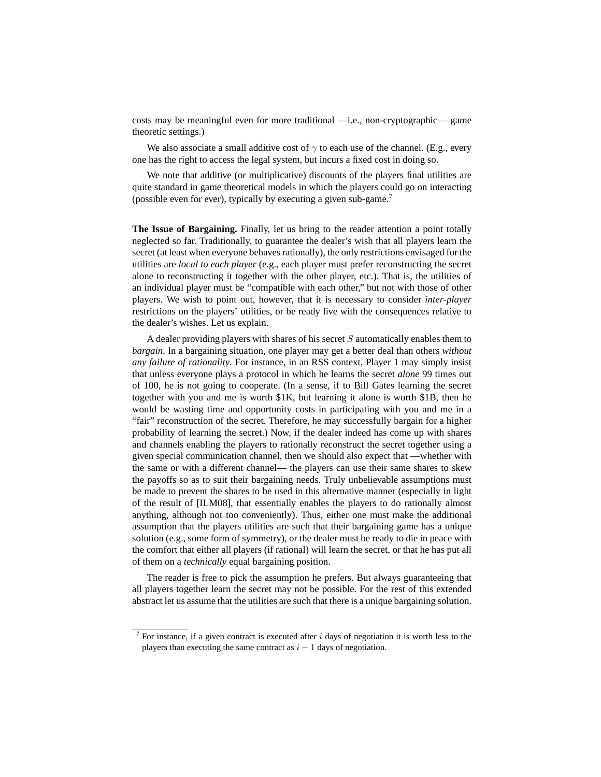costs may be meaningful even for more traditional —i.e., non-cryptographic— game theoretic settings.)

We also associate a small additive cost of  $\gamma$  to each use of the channel. (E.g., every one has the right to access the legal system, but incurs a fixed cost in doing so.

We note that additive (or multiplicative) discounts of the players final utilities are quite standard in game theoretical models in which the players could go on interacting (possible even for ever), typically by executing a given sub-game.<sup>7</sup>

**The Issue of Bargaining.** Finally, let us bring to the reader attention a point totally neglected so far. Traditionally, to guarantee the dealer's wish that all players learn the secret (at least when everyone behaves rationally), the only restrictions envisaged for the utilities are *local to each player* (e.g., each player must prefer reconstructing the secret alone to reconstructing it together with the other player, etc.). That is, the utilities of an individual player must be "compatible with each other," but not with those of other players. We wish to point out, however, that it is necessary to consider *inter-player* restrictions on the players' utilities, or be ready live with the consequences relative to the dealer's wishes. Let us explain.

A dealer providing players with shares of his secret S automatically enables them to *bargain*. In a bargaining situation, one player may get a better deal than others *without any failure of rationality*. For instance, in an RSS context, Player 1 may simply insist that unless everyone plays a protocol in which he learns the secret *alone* 99 times out of 100, he is not going to cooperate. (In a sense, if to Bill Gates learning the secret together with you and me is worth \$1K, but learning it alone is worth \$1B, then he would be wasting time and opportunity costs in participating with you and me in a "fair" reconstruction of the secret. Therefore, he may successfully bargain for a higher probability of learning the secret.) Now, if the dealer indeed has come up with shares and channels enabling the players to rationally reconstruct the secret together using a given special communication channel, then we should also expect that —whether with the same or with a different channel— the players can use their same shares to skew the payoffs so as to suit their bargaining needs. Truly unbelievable assumptions must be made to prevent the shares to be used in this alternative manner (especially in light of the result of [ILM08], that essentially enables the players to do rationally almost anything, although not too conveniently). Thus, either one must make the additional assumption that the players utilities are such that their bargaining game has a unique solution (e.g., some form of symmetry), or the dealer must be ready to die in peace with the comfort that either all players (if rational) will learn the secret, or that he has put all of them on a *technically* equal bargaining position.

The reader is free to pick the assumption he prefers. But always guaranteeing that all players together learn the secret may not be possible. For the rest of this extended abstract let us assume that the utilities are such that there is a unique bargaining solution.

<sup>&</sup>lt;sup>7</sup> For instance, if a given contract is executed after  $i$  days of negotiation it is worth less to the players than executing the same contract as  $i - 1$  days of negotiation.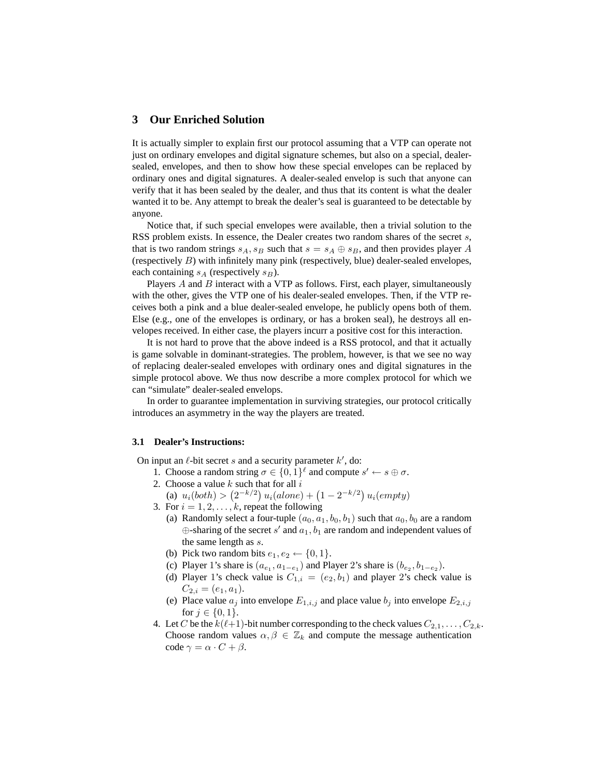# **3 Our Enriched Solution**

It is actually simpler to explain first our protocol assuming that a VTP can operate not just on ordinary envelopes and digital signature schemes, but also on a special, dealersealed, envelopes, and then to show how these special envelopes can be replaced by ordinary ones and digital signatures. A dealer-sealed envelop is such that anyone can verify that it has been sealed by the dealer, and thus that its content is what the dealer wanted it to be. Any attempt to break the dealer's seal is guaranteed to be detectable by anyone.

Notice that, if such special envelopes were available, then a trivial solution to the RSS problem exists. In essence, the Dealer creates two random shares of the secret s, that is two random strings  $s_A$ ,  $s_B$  such that  $s = s_A \oplus s_B$ , and then provides player A (respectively  $B$ ) with infinitely many pink (respectively, blue) dealer-sealed envelopes, each containing  $s_A$  (respectively  $s_B$ ).

Players A and B interact with a VTP as follows. First, each player, simultaneously with the other, gives the VTP one of his dealer-sealed envelopes. Then, if the VTP receives both a pink and a blue dealer-sealed envelope, he publicly opens both of them. Else (e.g., one of the envelopes is ordinary, or has a broken seal), he destroys all envelopes received. In either case, the players incurr a positive cost for this interaction.

It is not hard to prove that the above indeed is a RSS protocol, and that it actually is game solvable in dominant-strategies. The problem, however, is that we see no way of replacing dealer-sealed envelopes with ordinary ones and digital signatures in the simple protocol above. We thus now describe a more complex protocol for which we can "simulate" dealer-sealed envelops.

In order to guarantee implementation in surviving strategies, our protocol critically introduces an asymmetry in the way the players are treated.

#### **3.1 Dealer's Instructions:**

On input an  $\ell$ -bit secret s and a security parameter  $k'$ , do:

- 1. Choose a random string  $\sigma \in \{0,1\}^{\ell}$  and compute  $s' \leftarrow s \oplus \sigma$ .
- 2. Choose a value  $k$  such that for all  $i$ 
	- (a)  $u_i(both) > (2^{-k/2}) u_i(alone) + (1 2^{-k/2}) u_i(empty)$
- 3. For  $i = 1, 2, \ldots, k$ , repeat the following
	- (a) Randomly select a four-tuple  $(a_0, a_1, b_0, b_1)$  such that  $a_0, b_0$  are a random  $\oplus$ -sharing of the secret s' and  $a_1, b_1$  are random and independent values of the same length as s.
	- (b) Pick two random bits  $e_1, e_2 \leftarrow \{0, 1\}.$
	- (c) Player 1's share is  $(a_{e_1}, a_{1-e_1})$  and Player 2's share is  $(b_{e_2}, b_{1-e_2})$ .
	- (d) Player 1's check value is  $C_{1,i} = (e_2, b_1)$  and player 2's check value is  $C_{2,i} = (e_1, a_1).$
	- (e) Place value  $a_i$  into envelope  $E_{1,i,j}$  and place value  $b_i$  into envelope  $E_{2,i,j}$ for  $j \in \{0, 1\}$ .
- 4. Let C be the  $k(\ell+1)$ -bit number corresponding to the check values  $C_{2,1}, \ldots, C_{2,k}$ . Choose random values  $\alpha, \beta \in \mathbb{Z}_k$  and compute the message authentication code  $\gamma = \alpha \cdot C + \beta$ .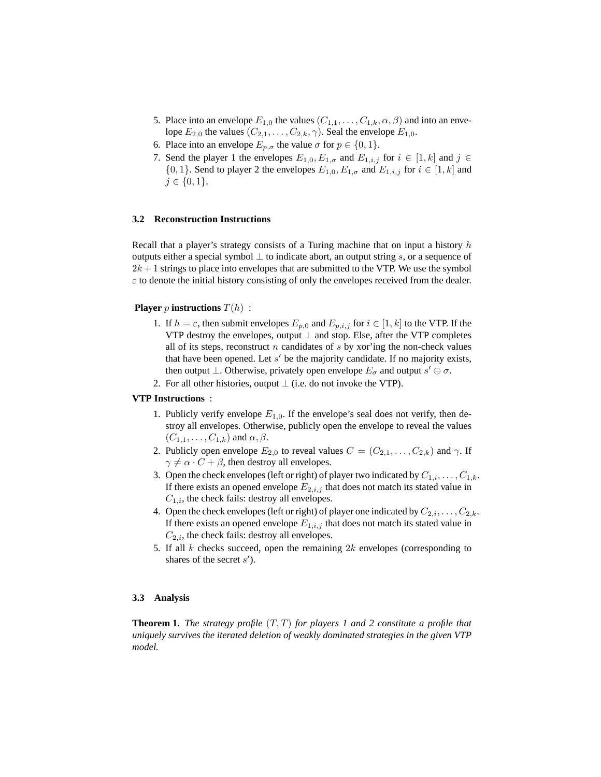- 5. Place into an envelope  $E_{1,0}$  the values  $(C_{1,1}, \ldots, C_{1,k}, \alpha, \beta)$  and into an envelope  $E_{2,0}$  the values  $(C_{2,1}, \ldots, C_{2,k}, \gamma)$ . Seal the envelope  $E_{1,0}$ .
- 6. Place into an envelope  $E_{p,\sigma}$  the value  $\sigma$  for  $p \in \{0,1\}$ .
- 7. Send the player 1 the envelopes  $E_{1,0}, E_{1,\sigma}$  and  $E_{1,i,j}$  for  $i \in [1, k]$  and  $j \in$  $\{0, 1\}$ . Send to player 2 the envelopes  $E_{1,0}, E_{1,\sigma}$  and  $E_{1,i,j}$  for  $i \in [1, k]$  and  $j \in \{0, 1\}.$

#### **3.2 Reconstruction Instructions**

Recall that a player's strategy consists of a Turing machine that on input a history  $h$ outputs either a special symbol  $\perp$  to indicate abort, an output string s, or a sequence of  $2k + 1$  strings to place into envelopes that are submitted to the VTP. We use the symbol  $\varepsilon$  to denote the initial history consisting of only the envelopes received from the dealer.

#### **Player** *p* **instructions**  $T(h)$  :

- 1. If  $h = \varepsilon$ , then submit envelopes  $E_{p,0}$  and  $E_{p,i,j}$  for  $i \in [1, k]$  to the VTP. If the VTP destroy the envelopes, output ⊥ and stop. Else, after the VTP completes all of its steps, reconstruct n candidates of  $s$  by xor'ing the non-check values that have been opened. Let  $s'$  be the majority candidate. If no majority exists, then output  $\perp$ . Otherwise, privately open envelope  $E_{\sigma}$  and output  $s' \oplus \sigma$ .
- 2. For all other histories, output  $\perp$  (i.e. do not invoke the VTP).

#### **VTP Instructions** :

- 1. Publicly verify envelope  $E_{1,0}$ . If the envelope's seal does not verify, then destroy all envelopes. Otherwise, publicly open the envelope to reveal the values  $(C_{1,1},\ldots,C_{1,k})$  and  $\alpha,\beta$ .
- 2. Publicly open envelope  $E_{2,0}$  to reveal values  $C = (C_{2,1}, \ldots, C_{2,k})$  and  $\gamma$ . If  $\gamma \neq \alpha \cdot C + \beta$ , then destroy all envelopes.
- 3. Open the check envelopes (left or right) of player two indicated by  $C_{1,i}, \ldots, C_{1,k}$ . If there exists an opened envelope  $E_{2,i,j}$  that does not match its stated value in  $C_{1,i}$ , the check fails: destroy all envelopes.
- 4. Open the check envelopes (left or right) of player one indicated by  $C_{2,i}, \ldots, C_{2,k}$ . If there exists an opened envelope  $E_{1,i,j}$  that does not match its stated value in  $C_{2,i}$ , the check fails: destroy all envelopes.
- 5. If all  $k$  checks succeed, open the remaining  $2k$  envelopes (corresponding to shares of the secret  $s'$ ).

#### **3.3 Analysis**

**Theorem 1.** *The strategy profile* (T, T) *for players 1 and 2 constitute a profile that uniquely survives the iterated deletion of weakly dominated strategies in the given VTP model.*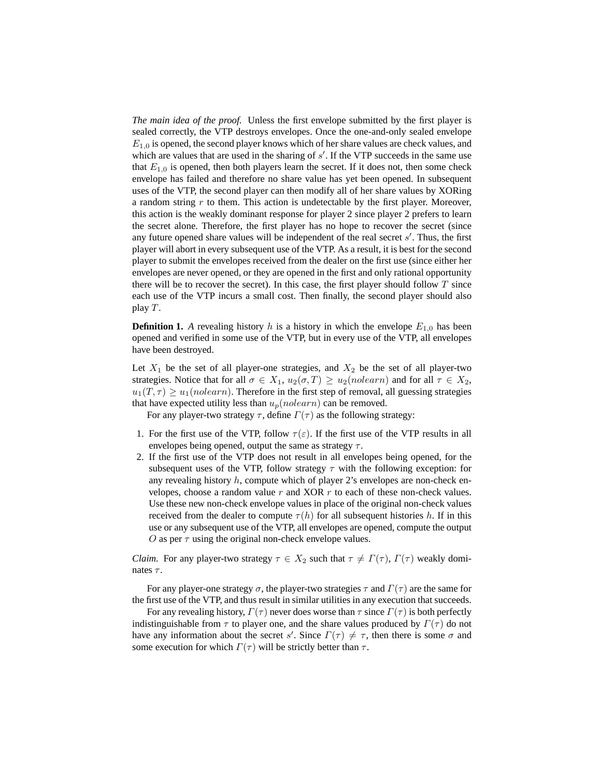*The main idea of the proof.* Unless the first envelope submitted by the first player is sealed correctly, the VTP destroys envelopes. Once the one-and-only sealed envelope  $E_{1,0}$  is opened, the second player knows which of her share values are check values, and which are values that are used in the sharing of  $s'$ . If the VTP succeeds in the same use that  $E_{1,0}$  is opened, then both players learn the secret. If it does not, then some check envelope has failed and therefore no share value has yet been opened. In subsequent uses of the VTP, the second player can then modify all of her share values by XORing a random string  $r$  to them. This action is undetectable by the first player. Moreover, this action is the weakly dominant response for player 2 since player 2 prefers to learn the secret alone. Therefore, the first player has no hope to recover the secret (since any future opened share values will be independent of the real secret  $s'$ . Thus, the first player will abort in every subsequent use of the VTP. As a result, it is best for the second player to submit the envelopes received from the dealer on the first use (since either her envelopes are never opened, or they are opened in the first and only rational opportunity there will be to recover the secret). In this case, the first player should follow  $T$  since each use of the VTP incurs a small cost. Then finally, the second player should also play T.

**Definition 1.** *A* revealing history *h* is a history in which the envelope  $E_{1,0}$  has been opened and verified in some use of the VTP, but in every use of the VTP, all envelopes have been destroyed.

Let  $X_1$  be the set of all player-one strategies, and  $X_2$  be the set of all player-two strategies. Notice that for all  $\sigma \in X_1$ ,  $u_2(\sigma, T) \ge u_2(nolearn)$  and for all  $\tau \in X_2$ ,  $u_1(T, \tau) \geq u_1(nolearn)$ . Therefore in the first step of removal, all guessing strategies that have expected utility less than  $u_n(nolearn)$  can be removed.

For any player-two strategy  $\tau$ , define  $\Gamma(\tau)$  as the following strategy:

- 1. For the first use of the VTP, follow  $\tau(\varepsilon)$ . If the first use of the VTP results in all envelopes being opened, output the same as strategy  $\tau$ .
- 2. If the first use of the VTP does not result in all envelopes being opened, for the subsequent uses of the VTP, follow strategy  $\tau$  with the following exception: for any revealing history  $h$ , compute which of player 2's envelopes are non-check envelopes, choose a random value  $r$  and XOR  $r$  to each of these non-check values. Use these new non-check envelope values in place of the original non-check values received from the dealer to compute  $\tau(h)$  for all subsequent histories h. If in this use or any subsequent use of the VTP, all envelopes are opened, compute the output O as per  $\tau$  using the original non-check envelope values.

*Claim.* For any player-two strategy  $\tau \in X_2$  such that  $\tau \neq \Gamma(\tau)$ ,  $\Gamma(\tau)$  weakly dominates  $\tau$ .

For any player-one strategy  $\sigma$ , the player-two strategies  $\tau$  and  $\Gamma(\tau)$  are the same for the first use of the VTP, and thus result in similar utilities in any execution that succeeds.

For any revealing history,  $\Gamma(\tau)$  never does worse than  $\tau$  since  $\Gamma(\tau)$  is both perfectly indistinguishable from  $\tau$  to player one, and the share values produced by  $\Gamma(\tau)$  do not have any information about the secret s'. Since  $\Gamma(\tau) \neq \tau$ , then there is some  $\sigma$  and some execution for which  $\Gamma(\tau)$  will be strictly better than  $\tau$ .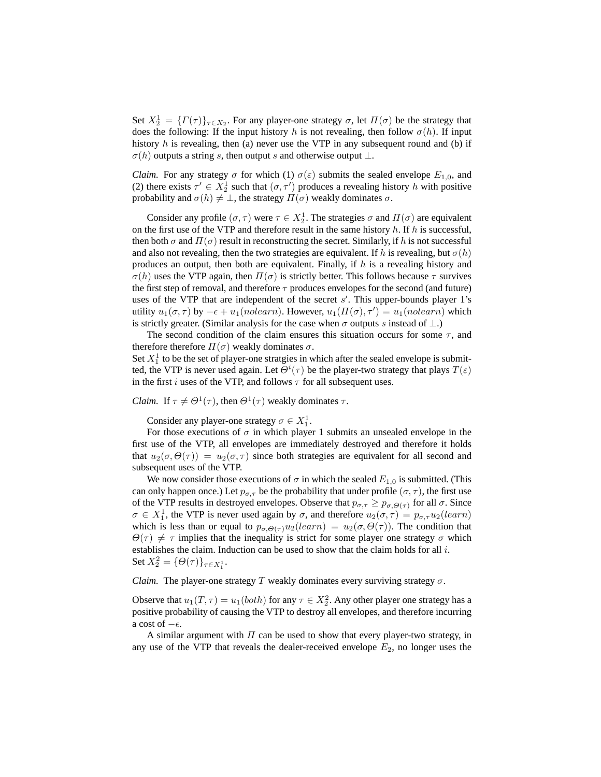Set  $X_2^1 = \{ \Gamma(\tau) \}_{\tau \in X_2}$ . For any player-one strategy  $\sigma$ , let  $\Pi(\sigma)$  be the strategy that does the following: If the input history h is not revealing, then follow  $\sigma(h)$ . If input history  $h$  is revealing, then (a) never use the VTP in any subsequent round and (b) if  $\sigma(h)$  outputs a string s, then output s and otherwise output  $\perp$ .

*Claim.* For any strategy  $\sigma$  for which (1)  $\sigma(\varepsilon)$  submits the sealed envelope  $E_{1,0}$ , and (2) there exists  $\tau' \in X_2^1$  such that  $(\sigma, \tau')$  produces a revealing history h with positive probability and  $\sigma(h) \neq \bot$ , the strategy  $\Pi(\sigma)$  weakly dominates  $\sigma$ .

Consider any profile  $(\sigma, \tau)$  were  $\tau \in X_2^1$ . The strategies  $\sigma$  and  $\Pi(\sigma)$  are equivalent on the first use of the VTP and therefore result in the same history  $h$ . If  $h$  is successful, then both  $\sigma$  and  $\Pi(\sigma)$  result in reconstructing the secret. Similarly, if h is not successful and also not revealing, then the two strategies are equivalent. If h is revealing, but  $\sigma(h)$ produces an output, then both are equivalent. Finally, if  $h$  is a revealing history and  $\sigma(h)$  uses the VTP again, then  $\Pi(\sigma)$  is strictly better. This follows because  $\tau$  survives the first step of removal, and therefore  $\tau$  produces envelopes for the second (and future) uses of the VTP that are independent of the secret  $s'$ . This upper-bounds player 1's utility  $u_1(\sigma, \tau)$  by  $-\epsilon + u_1(nolearn)$ . However,  $u_1(\Pi(\sigma), \tau') = u_1(nolearn)$  which is strictly greater. (Similar analysis for the case when  $\sigma$  outputs s instead of  $\bot$ .)

The second condition of the claim ensures this situation occurs for some  $\tau$ , and therefore therefore  $\Pi(\sigma)$  weakly dominates  $\sigma$ .

Set  $X_1^1$  to be the set of player-one stratgies in which after the sealed envelope is submitted, the VTP is never used again. Let  $\Theta^i(\tau)$  be the player-two strategy that plays  $T(\varepsilon)$ in the first *i* uses of the VTP, and follows  $\tau$  for all subsequent uses.

*Claim.* If  $\tau \neq \Theta^1(\tau)$ , then  $\Theta^1(\tau)$  weakly dominates  $\tau$ .

Consider any player-one strategy  $\sigma \in X_1^1$ .

For those executions of  $\sigma$  in which player 1 submits an unsealed envelope in the first use of the VTP, all envelopes are immediately destroyed and therefore it holds that  $u_2(\sigma, \Theta(\tau)) = u_2(\sigma, \tau)$  since both strategies are equivalent for all second and subsequent uses of the VTP.

We now consider those executions of  $\sigma$  in which the sealed  $E_{1,0}$  is submitted. (This can only happen once.) Let  $p_{\sigma,\tau}$  be the probability that under profile  $(\sigma,\tau)$ , the first use of the VTP results in destroyed envelopes. Observe that  $p_{\sigma,\tau} \geq p_{\sigma,\Theta(\tau)}$  for all  $\sigma$ . Since  $\sigma \in X_1^1$ , the VTP is never used again by  $\sigma$ , and therefore  $u_2(\sigma, \tau) = p_{\sigma, \tau} u_2(learn)$ which is less than or equal to  $p_{\sigma,\Theta(\tau)}u_2(learn) = u_2(\sigma,\Theta(\tau))$ . The condition that  $\Theta(\tau) \neq \tau$  implies that the inequality is strict for some player one strategy  $\sigma$  which establishes the claim. Induction can be used to show that the claim holds for all i. Set  $X_2^2 = {\Theta(\tau)}_{\tau \in X_1^1}$ .

*Claim.* The player-one strategy T weakly dominates every surviving strategy  $\sigma$ .

Observe that  $u_1(T, \tau) = u_1(both)$  for any  $\tau \in X_2^2$ . Any other player one strategy has a positive probability of causing the VTP to destroy all envelopes, and therefore incurring a cost of  $-\epsilon$ .

A similar argument with  $\Pi$  can be used to show that every player-two strategy, in any use of the VTP that reveals the dealer-received envelope  $E_2$ , no longer uses the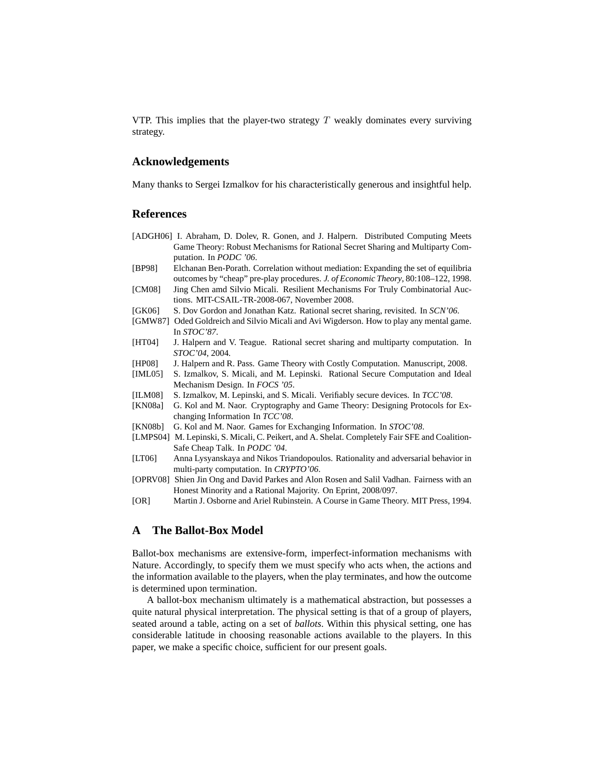VTP. This implies that the player-two strategy  $T$  weakly dominates every surviving strategy.

# **Acknowledgements**

Many thanks to Sergei Izmalkov for his characteristically generous and insightful help.

## **References**

- [ADGH06] I. Abraham, D. Dolev, R. Gonen, and J. Halpern. Distributed Computing Meets Game Theory: Robust Mechanisms for Rational Secret Sharing and Multiparty Computation. In *PODC '06*.
- [BP98] Elchanan Ben-Porath. Correlation without mediation: Expanding the set of equilibria outcomes by "cheap" pre-play procedures. *J. of Economic Theory*, 80:108–122, 1998.
- [CM08] Jing Chen amd Silvio Micali. Resilient Mechanisms For Truly Combinatorial Auctions. MIT-CSAIL-TR-2008-067, November 2008.
- [GK06] S. Dov Gordon and Jonathan Katz. Rational secret sharing, revisited. In *SCN'06*.
- [GMW87] Oded Goldreich and Silvio Micali and Avi Wigderson. How to play any mental game. In *STOC'87*.
- [HT04] J. Halpern and V. Teague. Rational secret sharing and multiparty computation. In *STOC'04*, 2004.
- [HP08] J. Halpern and R. Pass. Game Theory with Costly Computation. Manuscript, 2008.
- [IML05] S. Izmalkov, S. Micali, and M. Lepinski. Rational Secure Computation and Ideal Mechanism Design. In *FOCS '05*.
- [ILM08] S. Izmalkov, M. Lepinski, and S. Micali. Verifiably secure devices. In *TCC'08*.
- [KN08a] G. Kol and M. Naor. Cryptography and Game Theory: Designing Protocols for Exchanging Information In *TCC'08*.
- [KN08b] G. Kol and M. Naor. Games for Exchanging Information. In *STOC'08*.
- [LMPS04] M. Lepinski, S. Micali, C. Peikert, and A. Shelat. Completely Fair SFE and Coalition-Safe Cheap Talk. In *PODC '04*.
- [LT06] Anna Lysyanskaya and Nikos Triandopoulos. Rationality and adversarial behavior in multi-party computation. In *CRYPTO'06*.
- [OPRV08] Shien Jin Ong and David Parkes and Alon Rosen and Salil Vadhan. Fairness with an Honest Minority and a Rational Majority. On Eprint, 2008/097.
- [OR] Martin J. Osborne and Ariel Rubinstein. A Course in Game Theory. MIT Press, 1994.

# **A The Ballot-Box Model**

Ballot-box mechanisms are extensive-form, imperfect-information mechanisms with Nature. Accordingly, to specify them we must specify who acts when, the actions and the information available to the players, when the play terminates, and how the outcome is determined upon termination.

A ballot-box mechanism ultimately is a mathematical abstraction, but possesses a quite natural physical interpretation. The physical setting is that of a group of players, seated around a table, acting on a set of *ballots*. Within this physical setting, one has considerable latitude in choosing reasonable actions available to the players. In this paper, we make a specific choice, sufficient for our present goals.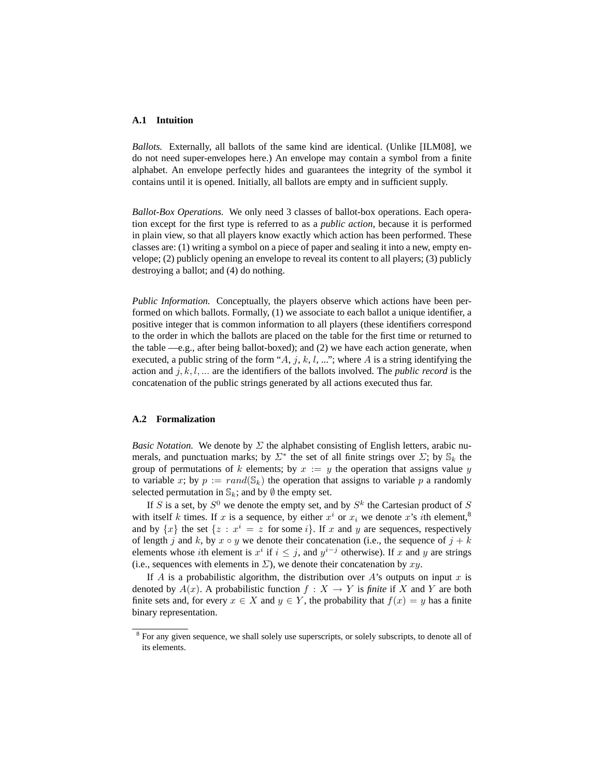#### **A.1 Intuition**

*Ballots.* Externally, all ballots of the same kind are identical. (Unlike [ILM08], we do not need super-envelopes here.) An envelope may contain a symbol from a finite alphabet. An envelope perfectly hides and guarantees the integrity of the symbol it contains until it is opened. Initially, all ballots are empty and in sufficient supply.

*Ballot-Box Operations.* We only need 3 classes of ballot-box operations. Each operation except for the first type is referred to as a *public action*, because it is performed in plain view, so that all players know exactly which action has been performed. These classes are: (1) writing a symbol on a piece of paper and sealing it into a new, empty envelope; (2) publicly opening an envelope to reveal its content to all players; (3) publicly destroying a ballot; and (4) do nothing.

*Public Information.* Conceptually, the players observe which actions have been performed on which ballots. Formally, (1) we associate to each ballot a unique identifier, a positive integer that is common information to all players (these identifiers correspond to the order in which the ballots are placed on the table for the first time or returned to the table  $-e.g.,$  after being ballot-boxed); and (2) we have each action generate, when executed, a public string of the form "A, j, k, l, ..."; where A is a string identifying the action and  $j, k, l, \ldots$  are the identifiers of the ballots involved. The *public record* is the concatenation of the public strings generated by all actions executed thus far.

#### **A.2 Formalization**

*Basic Notation.* We denote by  $\Sigma$  the alphabet consisting of English letters, arabic numerals, and punctuation marks; by  $\Sigma^*$  the set of all finite strings over  $\Sigma$ ; by  $\mathbb{S}_k$  the group of permutations of k elements; by  $x := y$  the operation that assigns value y to variable x; by  $p := rand(\mathbb{S}_k)$  the operation that assigns to variable p a randomly selected permutation in  $\mathbb{S}_k$ ; and by  $\emptyset$  the empty set.

If S is a set, by  $S^0$  we denote the empty set, and by  $S^k$  the Cartesian product of S with itself k times. If x is a sequence, by either  $x^i$  or  $x_i$  we denote x's ith element,<sup>8</sup> and by  $\{x\}$  the set  $\{z : x^i = z \text{ for some } i\}$ . If x and y are sequences, respectively of length j and k, by  $x \circ y$  we denote their concatenation (i.e., the sequence of  $j + k$ elements whose *i*th element is  $x^i$  if  $i \leq j$ , and  $y^{i-j}$  otherwise). If x and y are strings (i.e., sequences with elements in  $\Sigma$ ), we denote their concatenation by xy.

If A is a probabilistic algorithm, the distribution over A's outputs on input x is denoted by  $A(x)$ . A probabilistic function  $f : X \to Y$  is *finite* if X and Y are both finite sets and, for every  $x \in X$  and  $y \in Y$ , the probability that  $f(x) = y$  has a finite binary representation.

<sup>&</sup>lt;sup>8</sup> For any given sequence, we shall solely use superscripts, or solely subscripts, to denote all of its elements.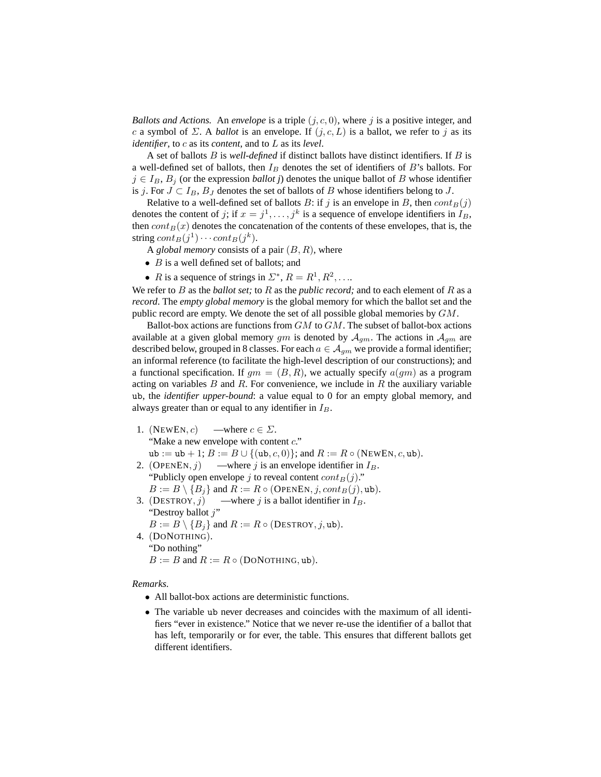*Ballots and Actions.* An *envelope* is a triple  $(j, c, 0)$ , where j is a positive integer, and c a symbol of  $\Sigma$ . A *ballot* is an envelope. If  $(j, c, L)$  is a ballot, we refer to j as its *identifier*, to c as its *content*, and to L as its *level*.

A set of ballots B is *well-defined* if distinct ballots have distinct identifiers. If B is a well-defined set of ballots, then  $I_B$  denotes the set of identifiers of B's ballots. For  $j \in I_B$ ,  $B_j$  (or the expression *ballot j*) denotes the unique ballot of B whose identifier is j. For  $J \subset I_B$ ,  $B_J$  denotes the set of ballots of B whose identifiers belong to J.

Relative to a well-defined set of ballots B: if j is an envelope in B, then  $cont_B(j)$ denotes the content of j; if  $x = j^1, \ldots, j^k$  is a sequence of envelope identifiers in  $I_B$ , then  $cont_B(x)$  denotes the concatenation of the contents of these envelopes, that is, the string  $cont_B(j^1) \cdots cont_B(j^k)$ .

- A *global memory* consists of a pair  $(B, R)$ , where
- $B$  is a well defined set of ballots; and
- R is a sequence of strings in  $\Sigma^*$ ,  $R = R^1, R^2, \ldots$

We refer to  $B$  as the *ballot set;* to  $R$  as the *public record;* and to each element of  $R$  as a *record*. The *empty global memory* is the global memory for which the ballot set and the public record are empty. We denote the set of all possible global memories by  $GM$ .

Ballot-box actions are functions from  $GM$  to  $GM$ . The subset of ballot-box actions available at a given global memory gm is denoted by  $A_{gm}$ . The actions in  $A_{gm}$  are described below, grouped in 8 classes. For each  $a \in A_{gm}$  we provide a formal identifier; an informal reference (to facilitate the high-level description of our constructions); and a functional specification. If  $qm = (B, R)$ , we actually specify  $a(qm)$  as a program acting on variables  $B$  and  $R$ . For convenience, we include in  $R$  the auxiliary variable ub, the *identifier upper-bound*: a value equal to 0 for an empty global memory, and always greater than or equal to any identifier in  $I_B$ .

1. (NEWEN, c) —where  $c \in \Sigma$ . "Make a new envelope with content  $c$ ." ub := ub + 1;  $B := B \cup \{(ub, c, 0)\}$ ; and  $R := R \circ (NEWEN, c, ub)$ . 2. (OPENEN, j) —where j is an envelope identifier in  $I_B$ . "Publicly open envelope j to reveal content  $cont_B(j)$ ."  $B := B \setminus \{B_i\}$  and  $R := R \circ (OPENEN, j, cont_B(j), ub).$ 3. (DESTROY, j) —where j is a ballot identifier in  $I_B$ . "Destroy ballot j"  $B := B \setminus \{B_i\}$  and  $R := R \circ ($ DESTROY, j, ub). 4. (DONOTHING). "Do nothing"  $B := B$  and  $R := R \circ (DONOTHING, ub)$ .

*Remarks.*

- All ballot-box actions are deterministic functions.
- The variable ub never decreases and coincides with the maximum of all identifiers "ever in existence." Notice that we never re-use the identifier of a ballot that has left, temporarily or for ever, the table. This ensures that different ballots get different identifiers.